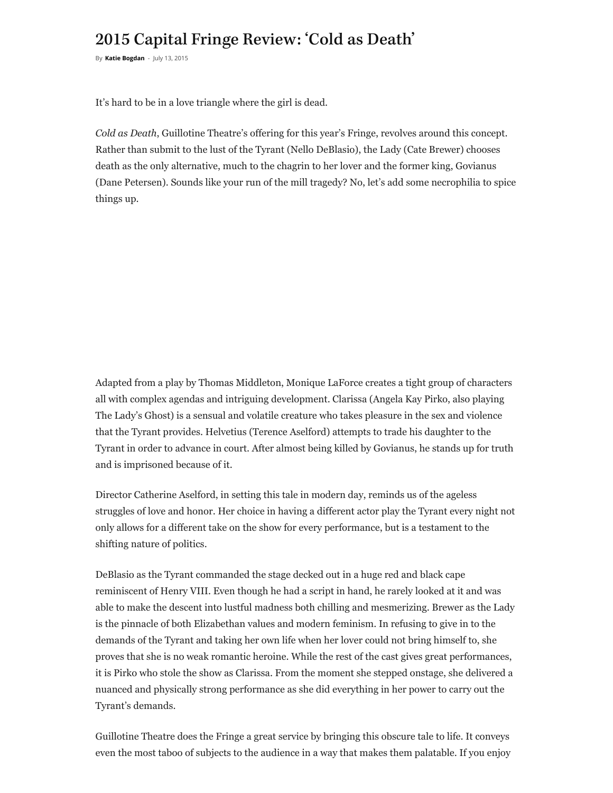## 2015 Capital Fringe Review: 'Cold as Death'

By **[Katie Bogdan](https://dcmetrotheaterarts.com/author/katie-bogdan/)** - July 13, 2015

It's hard to be in a love triangle where the girl is dead.

*Cold as Death*, Guillotine Theatre's offering for this year's Fringe, revolves around this concept. Rather than submit to the lust of the Tyrant (Nello DeBlasio), the Lady (Cate Brewer) chooses death as the only alternative, much to the chagrin to her lover and the former king, Govianus (Dane Petersen). Sounds like your run of the mill tragedy? No, let's add some necrophilia to spice things up.

Adapted from a play by Thomas Middleton, Monique LaForce creates a tight group of characters all with complex agendas and intriguing development. Clarissa (Angela Kay Pirko, also playing The Lady's Ghost) is a sensual and volatile creature who takes pleasure in the sex and violence that the Tyrant provides. Helvetius (Terence Aselford) attempts to trade his daughter to the Tyrant in order to advance in court. After almost being killed by Govianus, he stands up for truth and is imprisoned because of it.

Director Catherine Aselford, in setting this tale in modern day, reminds us of the ageless struggles of love and honor. Her choice in having a different actor play the Tyrant every night not only allows for a different take on the show for every performance, but is a testament to the shifting nature of politics.

DeBlasio as the Tyrant commanded the stage decked out in a huge red and black cape reminiscent of Henry VIII. Even though he had a script in hand, he rarely looked at it and was able to make the descent into lustful madness both chilling and mesmerizing. Brewer as the Lady is the pinnacle of both Elizabethan values and modern feminism. In refusing to give in to the demands of the Tyrant and taking her own life when her lover could not bring himself to, she proves that she is no weak romantic heroine. While the rest of the cast gives great performances, it is Pirko who stole the show as Clarissa. From the moment she stepped onstage, she delivered a nuanced and physically strong performance as she did everything in her power to carry out the Tyrant's demands.

Guillotine Theatre does the Fringe a great service by bringing this obscure tale to life. It conveys even the most taboo of subjects to the audience in a way that makes them palatable. If you enjoy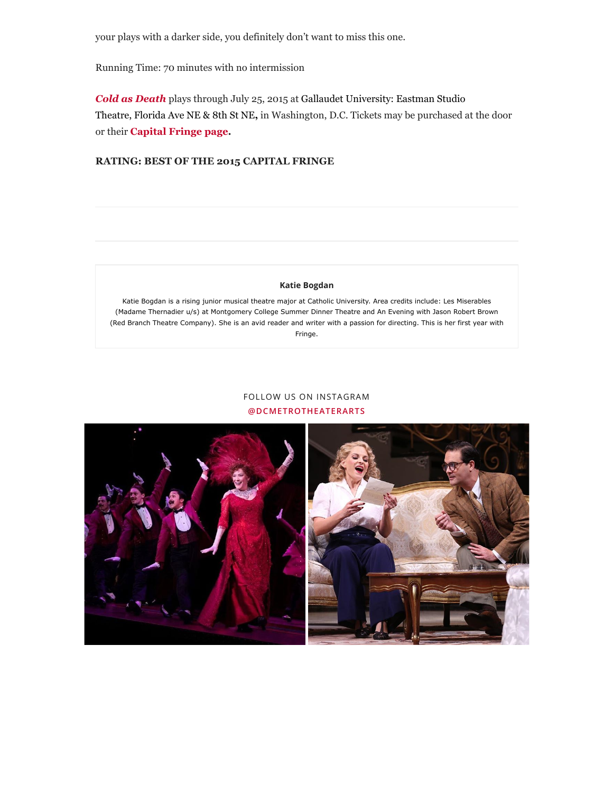your plays with a darker side, you definitely don't want to miss this one.

Running Time: 70 minutes with no intermission

*[Cold as Death](https://www.capitalfringe.org/events/594-cold-as-death)* plays through July 25, 2015 at Gallaudet University: Eastman Studio Theatre, Florida Ave NE & 8th St NE**,** in Washington, D.C. Tickets may be purchased at the door or their **[Capital Fringe page.](https://www.capitalfringe.org/events/594-cold-as-death)**

## **RATING: BEST OF THE 2015 CAPITAL FRINGE**

## **[Katie Bogdan](https://dcmetrotheaterarts.com/author/katie-bogdan/)**

Katie Bogdan is a rising junior musical theatre major at Catholic University. Area credits include: Les Miserables (Madame Thernadier u/s) at Montgomery College Summer Dinner Theatre and An Evening with Jason Robert Brown (Red Branch Theatre Company). She is an avid reader and writer with a passion for directing. This is her first year with Fringe.

## FOLLOW US ON INSTAGRAM **[@DCMETROTHEATERARTS](https://www.instagram.com/dcmetrotheaterarts)**